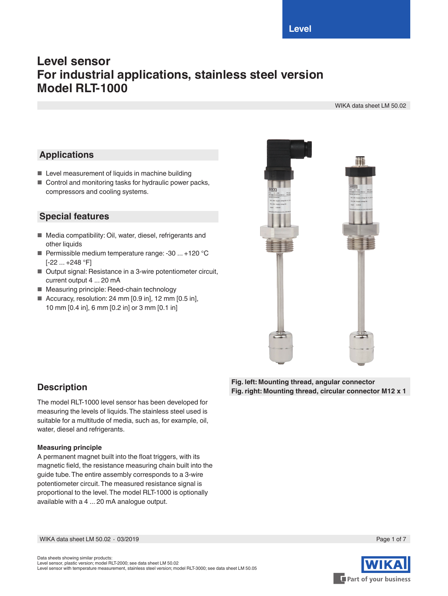**Level**

# **Level sensor For industrial applications, stainless steel version Model RLT-1000**

WIKA data sheet LM 50.02

# **Applications**

- Level measurement of liquids in machine building
- Control and monitoring tasks for hydraulic power packs, compressors and cooling systems.

## **Special features**

- Media compatibility: Oil, water, diesel, refrigerants and other liquids
- Permissible medium temperature range: -30 ... +120 °C [-22 ... +248 °F]
- Output signal: Resistance in a 3-wire potentiometer circuit, current output 4 ... 20 mA
- Measuring principle: Reed-chain technology
- Accuracy, resolution: 24 mm [0.9 in], 12 mm [0.5 in], 10 mm [0.4 in], 6 mm [0.2 in] or 3 mm [0.1 in]



### **Description**

The model RLT-1000 level sensor has been developed for measuring the levels of liquids. The stainless steel used is suitable for a multitude of media, such as, for example, oil, water, diesel and refrigerants.

#### **Measuring principle**

A permanent magnet built into the float triggers, with its magnetic field, the resistance measuring chain built into the guide tube. The entire assembly corresponds to a 3-wire potentiometer circuit. The measured resistance signal is proportional to the level. The model RLT-1000 is optionally available with a 4 ... 20 mA analogue output.

**Fig. left: Mounting thread, angular connector Fig. right: Mounting thread, circular connector M12 x 1**

WIKA data sheet LM 50.02 ∙ 03/2019 Page 1 of 7



Part of your business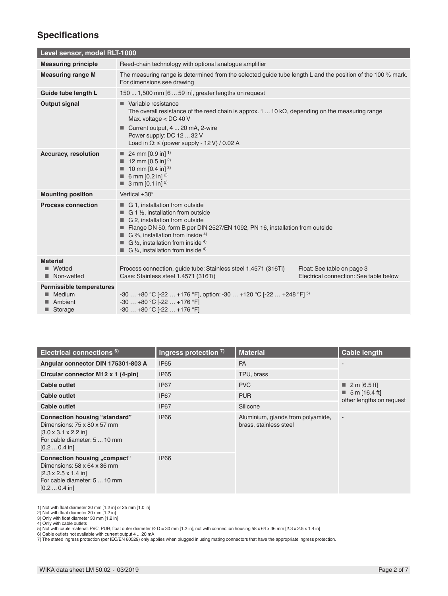## **Specifications**

| Level sensor, model RLT-1000                                    |                                                                                                                                                                                                                                                                                                                                   |                                                                      |  |  |  |
|-----------------------------------------------------------------|-----------------------------------------------------------------------------------------------------------------------------------------------------------------------------------------------------------------------------------------------------------------------------------------------------------------------------------|----------------------------------------------------------------------|--|--|--|
| <b>Measuring principle</b>                                      | Reed-chain technology with optional analogue amplifier                                                                                                                                                                                                                                                                            |                                                                      |  |  |  |
| <b>Measuring range M</b>                                        | The measuring range is determined from the selected guide tube length L and the position of the 100 % mark.<br>For dimensions see drawing                                                                                                                                                                                         |                                                                      |  |  |  |
| Guide tube length L                                             | 150  1,500 mm [6  59 in], greater lengths on request                                                                                                                                                                                                                                                                              |                                                                      |  |  |  |
| <b>Output signal</b>                                            | Variable resistance<br>The overall resistance of the reed chain is approx. 1  10 $k\Omega$ , depending on the measuring range<br>Max. voltage < DC 40 V                                                                                                                                                                           |                                                                      |  |  |  |
|                                                                 | Current output, 4  20 mA, 2-wire<br>Power supply: DC 12  32 V<br>Load in $\Omega$ : $\leq$ (power supply - 12 V) / 0.02 A                                                                                                                                                                                                         |                                                                      |  |  |  |
| <b>Accuracy, resolution</b>                                     | 24 mm $[0.9 \text{ in}]$ <sup>1)</sup><br>12 mm [0.5 in] <sup>2)</sup><br><b>10 mm [0.4 in]</b> <sup>3)</sup><br>6 mm $[0.2 \text{ in}]^{2}$<br>3 mm $[0.1 \text{ in}]^{2}$                                                                                                                                                       |                                                                      |  |  |  |
| <b>Mounting position</b>                                        | Vertical $\pm 30^\circ$                                                                                                                                                                                                                                                                                                           |                                                                      |  |  |  |
| <b>Process connection</b>                                       | G 1, installation from outside<br>$\blacksquare$ G 1 1/2, installation from outside<br>G 2, installation from outside<br>Flange DN 50, form B per DIN 2527/EN 1092, PN 16, installation from outside<br>G $\frac{3}{6}$ , installation from inside 4)<br>G 1/2, installation from inside 4)<br>G 1/4, installation from inside 4) |                                                                      |  |  |  |
| <b>Material</b><br>Wetted<br>■<br>Non-wetted<br>■               | Process connection, quide tube: Stainless steel 1.4571 (316Ti)<br>Case: Stainless steel 1.4571 (316Ti)                                                                                                                                                                                                                            | Float: See table on page 3<br>Electrical connection: See table below |  |  |  |
| <b>Permissible temperatures</b><br>Medium<br>Ambient<br>Storage | $-30+80$ °C [ $-22+176$ °F], option: $-30+120$ °C [ $-22+248$ °F] <sup>5)</sup><br>$-30+80$ °C $[-22+176$ °F]<br>$-30+80$ °C $[-22+176$ °F]                                                                                                                                                                                       |                                                                      |  |  |  |

| Electrical connections <sup>6)</sup>                                                                                                                                    | Ingress protection $7$ ) | <b>Material</b>                                             | <b>Cable length</b>                                      |
|-------------------------------------------------------------------------------------------------------------------------------------------------------------------------|--------------------------|-------------------------------------------------------------|----------------------------------------------------------|
| Angular connector DIN 175301-803 A                                                                                                                                      | IP <sub>65</sub>         | <b>PA</b>                                                   |                                                          |
| Circular connector M12 x 1 (4-pin)                                                                                                                                      | <b>IP65</b>              | TPU, brass                                                  |                                                          |
| Cable outlet                                                                                                                                                            | IP <sub>67</sub>         | <b>PVC</b>                                                  | ■ 2 m [6.5 ft]                                           |
| Cable outlet                                                                                                                                                            | IP <sub>67</sub>         | <b>PUR</b>                                                  | $\blacksquare$ 5 m [16.4 ft]<br>other lengths on request |
| Cable outlet                                                                                                                                                            | IP <sub>67</sub>         | Silicone                                                    |                                                          |
| <b>Connection housing "standard"</b><br>Dimensions: 75 x 80 x 57 mm<br>$[3.0 \times 3.1 \times 2.2]$ in<br>For cable diameter: 5  10 mm<br>$[0.2 \dots 0.4 \text{ in}]$ | <b>IP66</b>              | Aluminium, glands from polyamide,<br>brass, stainless steel | $\sim$                                                   |
| Connection housing "compact"<br>Dimensions: 58 x 64 x 36 mm<br>$[2.3 \times 2.5 \times 1.4]$ in<br>For cable diameter: 5  10 mm<br>$[0.2 \dots 0.4 \text{ in}]$         | <b>IP66</b>              |                                                             |                                                          |

1) Not with float diameter 30 mm [1.2 in] or 25 mm [1.0 in]<br>2) Not with float diameter 30 mm [1.2 in]<br>3) Only with float diameter 30 mm [1.2 in]<br>3) Only with cable naterial: PVC, PUR; float outer diameter Ø D = 30 mm [1.2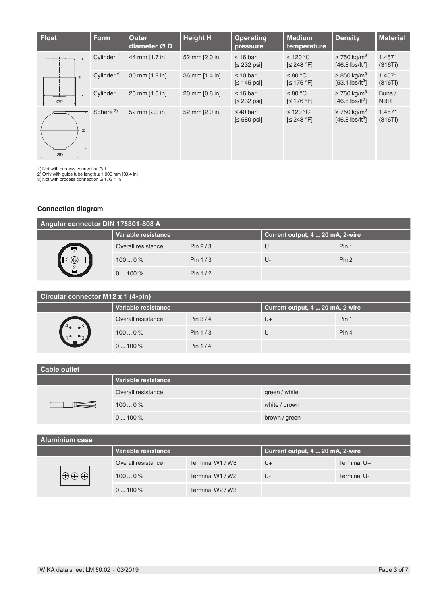| <b>Float</b> | <b>Form</b>            | <b>Outer</b><br>diameter Ø D | <b>Height H</b> | <b>Operating</b><br>pressure    | <b>Medium</b><br>temperature     | <b>Density</b>                                                | <b>Material</b>     |
|--------------|------------------------|------------------------------|-----------------|---------------------------------|----------------------------------|---------------------------------------------------------------|---------------------|
|              | Cylinder $1$ )         | 44 mm [1.7 in]               | 52 mm [2.0 in]  | $\leq 16$ bar<br>$\leq$ 232 psi | ≤ 120 °C<br>$\left[\leq 248$ °F] | $\geq$ 750 kg/m <sup>3</sup><br>$[46.8 \text{ lbs/ft}^3]$     | 1.4571<br>(316Ti)   |
| $\mathbf{r}$ | Cylinder <sup>2)</sup> | 30 mm [1.2 in]               | 36 mm [1.4 in]  | $\leq 10$ bar<br>$\leq 145$ psi | ≤ 80 °C<br>$\leq 176$ °Fl        | $\geq$ 850 kg/m <sup>3</sup><br>$[53.1 \text{ lbs/ft}^3]$     | 1.4571<br>(316Ti)   |
| ØD           | Cylinder               | 25 mm [1.0 in]               | 20 mm [0.8 in]  | $\leq 16$ bar<br>$\leq$ 232 psi | ≤ 80 °C<br>$\left[\leq 176$ °F]  | $\geq$ 750 kg/m <sup>3</sup><br>$[46.8 \text{ lbs/ft}^3]$     | Buna/<br><b>NBR</b> |
| H<br>ØD      | Sphere <sup>3)</sup>   | 52 mm [2.0 in]               | 52 mm [2.0 in]  | $\leq 40$ bar<br>$\leq 580$ psi | ≤ 120 °C<br>$\left[\leq 248$ °F] | $\geq$ 750 kg/m <sup>3</sup><br>$[46.8$ lbs/ft <sup>3</sup> ] | 1.4571<br>(316Ti)   |

1) Not with process connection G 1 2) Only with guide tube length ≤ 1,000 mm [39.4 in] 3) Not with process connection G 1, G 1 ½

#### **Connection diagram**

| Angular connector DIN 175301-803 A |                     |           |                                  |       |  |
|------------------------------------|---------------------|-----------|----------------------------------|-------|--|
|                                    | Variable resistance |           | Current output, 4  20 mA, 2-wire |       |  |
| œ                                  | Overall resistance  | Pin $2/3$ | $U_{+}$                          | Pin 1 |  |
| $\circledcirc$                     | 1000%               | Pin $1/3$ | U-                               | Pin 2 |  |
|                                    | $0100\%$            | Pin $1/2$ |                                  |       |  |

| Circular connector M12 x 1 (4-pin) |                     |           |                                  |       |  |  |
|------------------------------------|---------------------|-----------|----------------------------------|-------|--|--|
|                                    | Variable resistance |           | Current output, 4  20 mA, 2-wire |       |  |  |
|                                    | Overall resistance  | Pin $3/4$ | U+                               | Pin 1 |  |  |
|                                    | 1000%               | Pin $1/3$ | U-                               | Pin 4 |  |  |
|                                    | $0100\%$            | Pin $1/4$ |                                  |       |  |  |

| Cable outlet |                     |               |  |  |
|--------------|---------------------|---------------|--|--|
|              | Variable resistance |               |  |  |
|              | Overall resistance  | green / white |  |  |
|              | 1000%               | white / brown |  |  |
|              | $0100\%$            | brown / green |  |  |

### **Aluminium case**

| Variable resistance |                  | Current output, 4  20 mA, 2-wire |             |
|---------------------|------------------|----------------------------------|-------------|
| Overall resistance  | Terminal W1 / W3 | U+                               | Terminal U+ |
| 1000%               | Terminal W1 / W2 | U-                               | Terminal U- |
| $0100\%$            | Terminal W2 / W3 |                                  |             |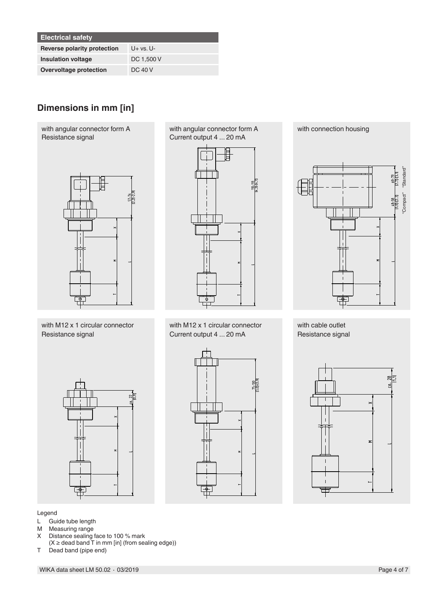| <b>Electrical safety</b>           |            |
|------------------------------------|------------|
| <b>Reverse polarity protection</b> | $U+vs. U-$ |
| <b>Insulation voltage</b>          | DC 1,500 V |
| Overvoltage protection             | DC 40 V    |

# **Dimensions in mm [in]**

with angular connector form A Resistance signal



with M12 x 1 circular connector Resistance signal

with angular connector form A Current output 4 ... 20 mA



with M12 x 1 circular connector Current output 4 ... 20 mA

 $\frac{75-100}{13.01-13.9}$ 



with cable outlet Resistance signal





Legend

- L Guide tube length<br>M Measuring range
- M Measuring range<br>X Distance sealing
- Distance sealing face to 100 % mark
- $(X \geq 0)$  dead band  $\overline{T}$  in mm [in] (from sealing edge))
- T Dead band (pipe end)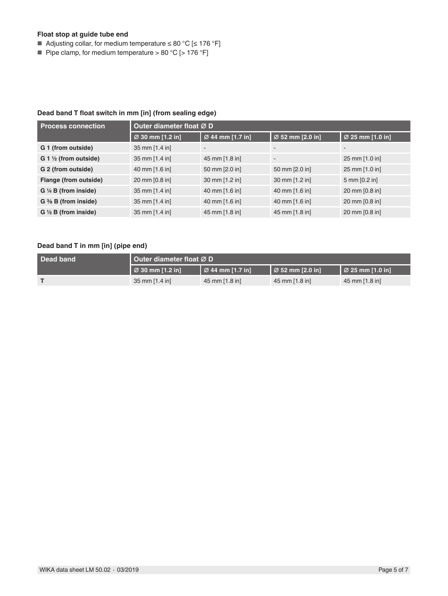#### **Float stop at guide tube end**

- Adjusting collar, for medium temperature ≤ 80 °C [≤ 176 °F]
- Pipe clamp, for medium temperature > 80 °C [> 176 °F]

#### **Dead band T float switch in mm [in] (from sealing edge)**

| <b>Process connection</b>          | Outer diameter float Ø D |                  |                          |                          |  |
|------------------------------------|--------------------------|------------------|--------------------------|--------------------------|--|
|                                    | Ø 30 mm [1.2 in]         | Ø 44 mm [1.7 in] | Ø 52 mm [2.0 in]         | Ø 25 mm [1.0 in]         |  |
| G 1 (from outside)                 | 35 mm [1.4 in]           |                  |                          | $\overline{\phantom{0}}$ |  |
| $G_1 \frac{1}{2}$ (from outside)   | 35 mm [1.4 in]           | 45 mm [1.8 in]   | $\overline{\phantom{a}}$ | 25 mm [1.0 in]           |  |
| G 2 (from outside)                 | 40 mm [1.6 in]           | 50 mm [2.0 in]   | 50 mm [2.0 in]           | 25 mm [1.0 in]           |  |
| Flange (from outside)              | 20 mm [0.8 in]           | 30 mm [1.2 in]   | 30 mm [1.2 in]           | 5 mm [0.2 in]            |  |
| $G \nmid A$ B (from inside)        | 35 mm [1.4 in]           | 40 mm [1.6 in]   | 40 mm [1.6 in]           | 20 mm [0.8 in]           |  |
| $G \frac{3}{8} B$ (from inside)    | 35 mm [1.4 in]           | 40 mm [1.6 in]   | 40 mm [1.6 in]           | 20 mm [0.8 in]           |  |
| $G \ntriangleleft B$ (from inside) | 35 mm [1.4 in]           | 45 mm [1.8 in]   | 45 mm [1.8 in]           | 20 mm [0.8 in]           |  |

### **Dead band T in mm [in] (pipe end)**

| Dead band | Outer diameter float $\varnothing$ D |                                          |                                      |                                    |
|-----------|--------------------------------------|------------------------------------------|--------------------------------------|------------------------------------|
|           | $\vert \varnothing$ 30 mm [1.2 in]   | $\mathsf I$ $\varnothing$ 44 mm [1.7 in] | $\vert$ $\varnothing$ 52 mm [2.0 in] | $\vert \varnothing$ 25 mm [1.0 in] |
|           | 35 mm [1.4 in]                       | 45 mm [1.8 in]                           | $45 \text{ mm}$ [1.8 in]             | $45 \text{ mm}$ [1.8 in]           |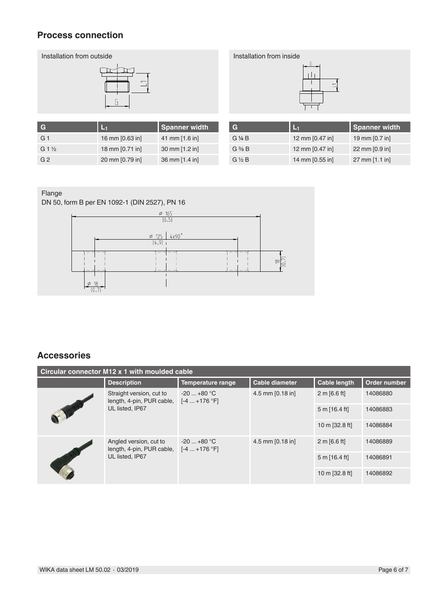### **Process connection**





| stallation from inside |  |
|------------------------|--|
|                        |  |
| r                      |  |
|                        |  |

| G               |                 | <b>Spanner width</b> |
|-----------------|-----------------|----------------------|
| G 1             | 16 mm [0.63 in] | 41 mm [1.6 in]       |
| $G1\frac{1}{2}$ | 18 mm [0.71 in] | 30 mm [1.2 in]       |
| G <sub>2</sub>  | 20 mm [0.79 in] | 36 mm [1.4 in]       |

| G                 | L-1             | <b>Spanner width</b> |
|-------------------|-----------------|----------------------|
| G 1/4 B           | 12 mm [0.47 in] | 19 mm [0.7 in]       |
| $G \frac{3}{8} B$ | 12 mm [0.47 in] | 22 mm [0.9 in]       |
| $G\frac{1}{2}B$   | 14 mm [0.55 in] | 27 mm [1.1 in]       |

### Flange

DN 50, form B per EN 1092-1 (DIN 2527), PN 16



## **Accessories**

| Circular connector M12 x 1 with moulded cable |                                                                          |                              |                       |                     |              |  |
|-----------------------------------------------|--------------------------------------------------------------------------|------------------------------|-----------------------|---------------------|--------------|--|
|                                               | <b>Description</b>                                                       | Temperature range            | <b>Cable diameter</b> | <b>Cable length</b> | Order number |  |
|                                               | Straight version, cut to<br>length, 4-pin, PUR cable,<br>UL listed, IP67 | $-20+80 °C$<br>$[-4+176 °F]$ | 4.5 mm $[0.18$ in]    | 2 m [6.6 ft]        | 14086880     |  |
|                                               |                                                                          |                              |                       | $5 m$ [16.4 ft]     | 14086883     |  |
|                                               |                                                                          |                              |                       | 10 m [32.8 ft]      | 14086884     |  |
|                                               | Angled version, cut to<br>length, 4-pin, PUR cable,<br>UL listed. IP67   | $-20+80 °C$<br>$[-4+176 °F]$ | 4.5 mm [0.18 in]      | 2 m [6.6 ft]        | 14086889     |  |
|                                               |                                                                          |                              |                       | $5 m$ [16.4 ft]     | 14086891     |  |
|                                               |                                                                          |                              |                       | 10 m [32.8 ft]      | 14086892     |  |